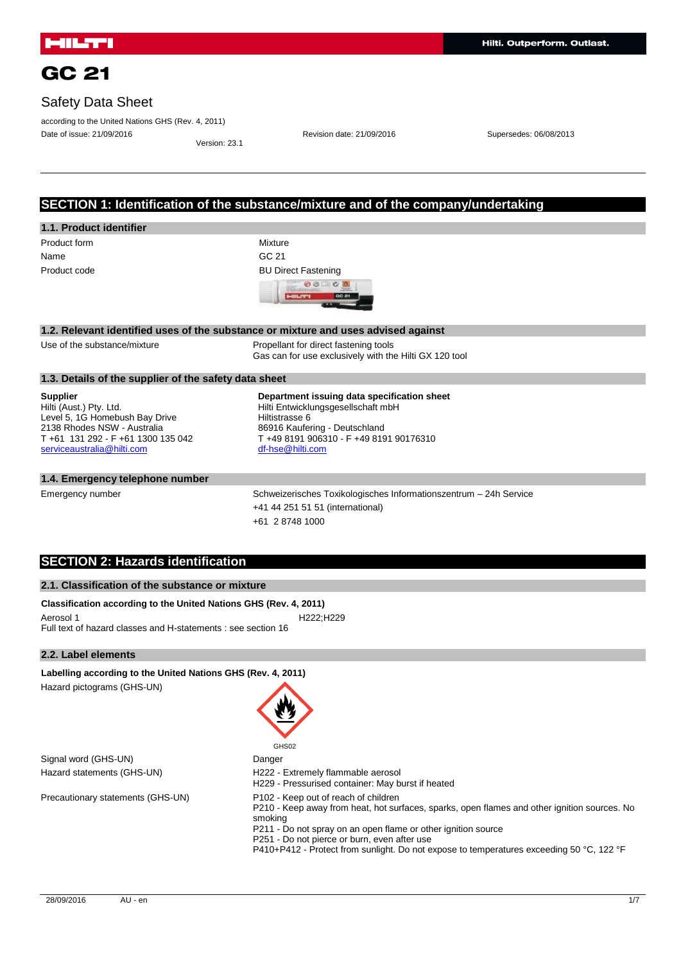## Safety Data Sheet

according to the United Nations GHS (Rev. 4, 2011) Date of issue: 21/09/2016 Revision date: 21/09/2016 Supersedes: 06/08/2013

Version: 23.1

## **SECTION 1: Identification of the substance/mixture and of the company/undertaking**

## **1.1. Product identifier**

Name GC 21

Product form **Mixture** Product code **BU Direct Fastening** 00000 GC 21 c **CHAIRS** 

#### **1.2. Relevant identified uses of the substance or mixture and uses advised against**

Use of the substance/mixture Propellant for direct fastening tools Gas can for use exclusively with the Hilti GX 120 tool

#### **1.3. Details of the supplier of the safety data sheet**

**Supplier** Hilti (Aust.) Pty. Ltd. Level 5, 1G Homebush Bay Drive 2138 Rhodes NSW - Australia T +61 131 292 - F +61 1300 135 042 [serviceaustralia@hilti.com](mailto:serviceaustralia@hilti.com)

**Department issuing data specification sheet** Hilti Entwicklungsgesellschaft mbH Hiltistrasse 6 86916 Kaufering - Deutschland T +49 8191 906310 - F +49 8191 90176310 [df-hse@hilti.com](mailto:df-hse@hilti.com)

#### **1.4. Emergency telephone number**

Emergency number Schweizerisches Toxikologisches Informationszentrum – 24h Service +41 44 251 51 51 (international) +61 2 8748 1000

### **SECTION 2: Hazards identification**

### **2.1. Classification of the substance or mixture**

**Classification according to the United Nations GHS (Rev. 4, 2011)** Aerosol 1 **H222**;H229 Full text of hazard classes and H-statements : see section 16

**Labelling according to the United Nations GHS (Rev. 4, 2011)**

#### **2.2. Label elements**

| GHS02                                                                                                                                                                                                                                                                                                                                                        |
|--------------------------------------------------------------------------------------------------------------------------------------------------------------------------------------------------------------------------------------------------------------------------------------------------------------------------------------------------------------|
| Danger                                                                                                                                                                                                                                                                                                                                                       |
| H222 - Extremely flammable aerosol<br>H229 - Pressurised container: May burst if heated                                                                                                                                                                                                                                                                      |
| P102 - Keep out of reach of children<br>P210 - Keep away from heat, hot surfaces, sparks, open flames and other ignition sources. No<br>smoking<br>P211 - Do not spray on an open flame or other ignition source<br>P251 - Do not pierce or burn, even after use<br>P410+P412 - Protect from sunlight. Do not expose to temperatures exceeding 50 °C, 122 °F |
|                                                                                                                                                                                                                                                                                                                                                              |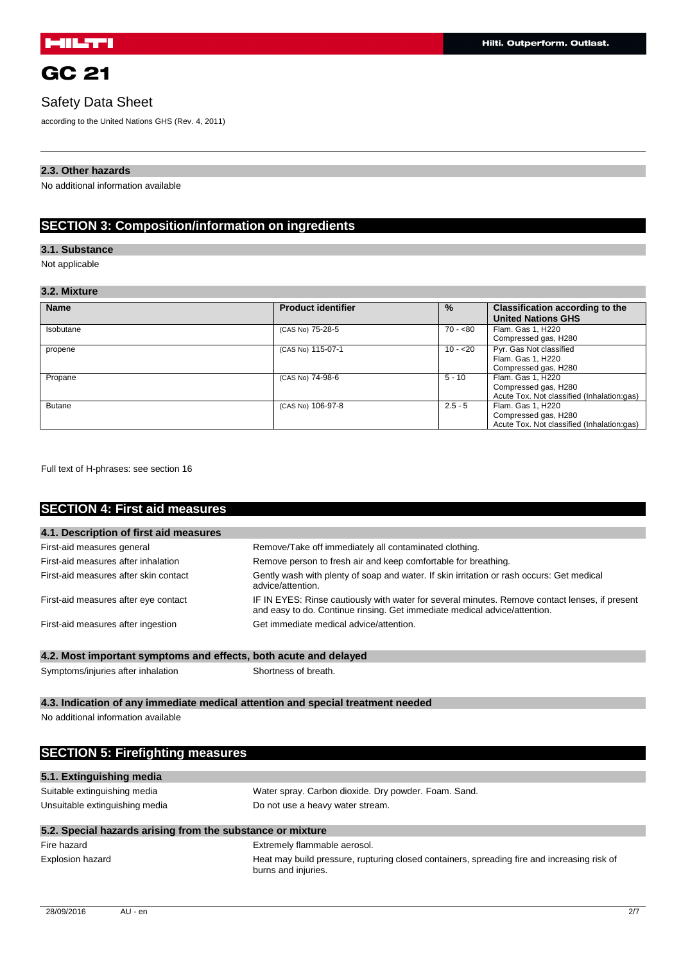## Safety Data Sheet

according to the United Nations GHS (Rev. 4, 2011)

### **2.3. Other hazards**

No additional information available

## **SECTION 3: Composition/information on ingredients**

### **3.1. Substance**

Not applicable

### **3.2. Mixture**

| <b>Name</b>   | <b>Product identifier</b> | $\%$      | Classification according to the<br><b>United Nations GHS</b>                            |
|---------------|---------------------------|-----------|-----------------------------------------------------------------------------------------|
| Isobutane     | (CAS No) 75-28-5          | $70 - 80$ | Flam. Gas 1, H220<br>Compressed gas, H280                                               |
| propene       | (CAS No) 115-07-1         | $10 - 20$ | Pyr. Gas Not classified<br>Flam. Gas 1, H220<br>Compressed gas, H280                    |
| Propane       | (CAS No) 74-98-6          | $5 - 10$  | Flam. Gas 1, H220<br>Compressed gas, H280<br>Acute Tox. Not classified (Inhalation:gas) |
| <b>Butane</b> | (CAS No) 106-97-8         | $2.5 - 5$ | Flam. Gas 1, H220<br>Compressed gas, H280<br>Acute Tox. Not classified (Inhalation:gas) |

Full text of H-phrases: see section 16

## **SECTION 4: First aid measures**

| 4.1. Description of first aid measures                                                                                                                                                                              |                                                        |
|---------------------------------------------------------------------------------------------------------------------------------------------------------------------------------------------------------------------|--------------------------------------------------------|
| First-aid measures general                                                                                                                                                                                          | Remove/Take off immediately all contaminated clothing. |
| First-aid measures after inhalation<br>Remove person to fresh air and keep comfortable for breathing.                                                                                                               |                                                        |
| Gently wash with plenty of soap and water. If skin irritation or rash occurs: Get medical<br>First-aid measures after skin contact<br>advice/attention.                                                             |                                                        |
| IF IN EYES: Rinse cautiously with water for several minutes. Remove contact lenses, if present<br>First-aid measures after eye contact<br>and easy to do. Continue rinsing. Get immediate medical advice/attention. |                                                        |
| First-aid measures after ingestion                                                                                                                                                                                  | Get immediate medical advice/attention.                |

## **4.2. Most important symptoms and effects, both acute and delayed**

Symptoms/injuries after inhalation Shortness of breath.

burns and injuries.

### **4.3. Indication of any immediate medical attention and special treatment needed**

No additional information available

| <b>SECTION 5: Firefighting measures</b>                                                                                |                                                      |
|------------------------------------------------------------------------------------------------------------------------|------------------------------------------------------|
| 5.1. Extinguishing media                                                                                               |                                                      |
| Suitable extinguishing media                                                                                           | Water spray. Carbon dioxide. Dry powder. Foam. Sand. |
| Unsuitable extinguishing media                                                                                         | Do not use a heavy water stream.                     |
| 5.2. Special hazards arising from the substance or mixture                                                             |                                                      |
| Fire hazard                                                                                                            | Extremely flammable aerosol.                         |
| Heat may build pressure, rupturing closed containers, spreading fire and increasing risk of<br><b>Explosion hazard</b> |                                                      |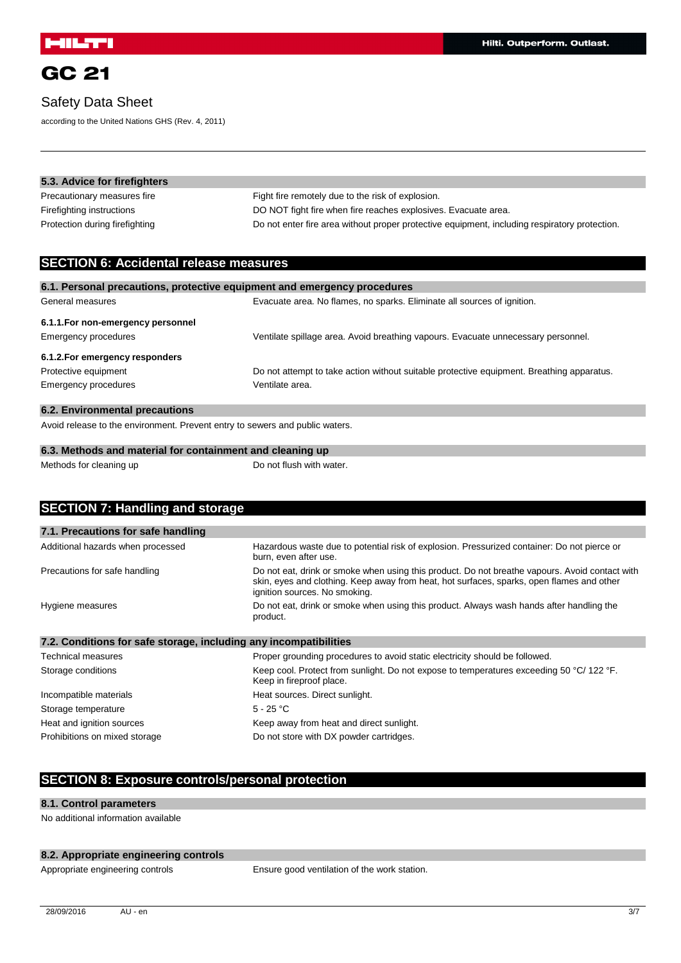## Safety Data Sheet

according to the United Nations GHS (Rev. 4, 2011)

| 5.3. Advice for firefighters   |                                                                                               |
|--------------------------------|-----------------------------------------------------------------------------------------------|
| Precautionary measures fire    | Fight fire remotely due to the risk of explosion.                                             |
| Firefighting instructions      | DO NOT fight fire when fire reaches explosives. Evacuate area.                                |
| Protection during firefighting | Do not enter fire area without proper protective equipment, including respiratory protection. |

## **SECTION 6: Accidental release measures**

| 6.1. Personal precautions, protective equipment and emergency procedures |                                                                                           |
|--------------------------------------------------------------------------|-------------------------------------------------------------------------------------------|
| General measures                                                         | Evacuate area. No flames, no sparks. Eliminate all sources of ignition.                   |
| 6.1.1. For non-emergency personnel                                       |                                                                                           |
| Emergency procedures                                                     | Ventilate spillage area. Avoid breathing vapours. Evacuate unnecessary personnel.         |
| 6.1.2. For emergency responders                                          |                                                                                           |
| Protective equipment                                                     | Do not attempt to take action without suitable protective equipment. Breathing apparatus. |
| Emergency procedures                                                     | Ventilate area.                                                                           |
| 6.2. Environmental precautions                                           |                                                                                           |

Avoid release to the environment. Prevent entry to sewers and public waters.

| 6.3. Methods and material for containment and cleaning up |                          |
|-----------------------------------------------------------|--------------------------|
| Methods for cleaning up                                   | Do not flush with water. |

| <b>SECTION 7: Handling and storage</b>                            |                                                                                                                                                                                                                              |
|-------------------------------------------------------------------|------------------------------------------------------------------------------------------------------------------------------------------------------------------------------------------------------------------------------|
|                                                                   |                                                                                                                                                                                                                              |
| 7.1. Precautions for safe handling                                |                                                                                                                                                                                                                              |
| Additional hazards when processed                                 | Hazardous waste due to potential risk of explosion. Pressurized container: Do not pierce or<br>burn, even after use.                                                                                                         |
| Precautions for safe handling                                     | Do not eat, drink or smoke when using this product. Do not breathe vapours. Avoid contact with<br>skin, eyes and clothing. Keep away from heat, hot surfaces, sparks, open flames and other<br>ignition sources. No smoking. |
| Hygiene measures                                                  | Do not eat, drink or smoke when using this product. Always wash hands after handling the<br>product.                                                                                                                         |
| 7.2. Conditions for safe storage, including any incompatibilities |                                                                                                                                                                                                                              |
| <b>Technical measures</b>                                         | Proper grounding procedures to avoid static electricity should be followed.                                                                                                                                                  |
| Storage conditions                                                | Keep cool. Protect from sunlight. Do not expose to temperatures exceeding 50 °C/ 122 °F.<br>Keep in fireproof place.                                                                                                         |
| Incompatible materials                                            | Heat sources. Direct sunlight.                                                                                                                                                                                               |
| Storage temperature                                               | $5 - 25 °C$                                                                                                                                                                                                                  |
| Heat and ignition sources                                         | Keep away from heat and direct sunlight.                                                                                                                                                                                     |
| Prohibitions on mixed storage                                     | Do not store with DX powder cartridges.                                                                                                                                                                                      |

# **SECTION 8: Exposure controls/personal protection**

### **8.1. Control parameters**

No additional information available

### **8.2. Appropriate engineering controls**

Appropriate engineering controls Ensure good ventilation of the work station.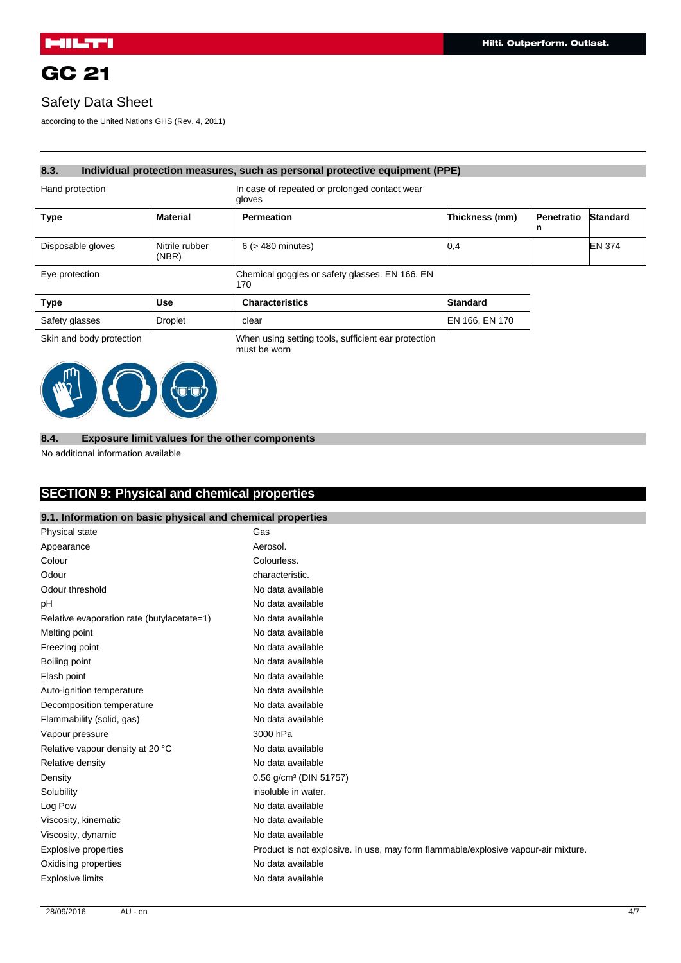## Safety Data Sheet

according to the United Nations GHS (Rev. 4, 2011)

#### **8.3. Individual protection measures, such as personal protective equipment (PPE)**

Hand protection **In case of repeated or prolonged contact wear** 

|                   |                         | gloves                                                |                 |                                 |               |
|-------------------|-------------------------|-------------------------------------------------------|-----------------|---------------------------------|---------------|
| <b>Type</b>       | <b>Material</b>         | <b>Permeation</b>                                     | Thickness (mm)  | <b>Penetratio Standard</b><br>n |               |
| Disposable gloves | Nitrile rubber<br>(NBR) | $6$ ( $>$ 480 minutes)                                | (0, 4)          |                                 | <b>EN 374</b> |
| Eye protection    |                         | Chemical goggles or safety glasses. EN 166. EN<br>170 |                 |                                 |               |
| <b>Type</b>       | II <sub>0</sub>         | Characteriction                                       | <b>Ciondord</b> |                                 |               |

| Type           | Use            | <b>Characteristics</b> | <b>Standard</b> |
|----------------|----------------|------------------------|-----------------|
| Safety glasses | <b>Droplet</b> | clear                  | EN 166, EN 170  |

Skin and body protection **When using setting tools, sufficient ear protection** must be worn



### **8.4. Exposure limit values for the other components**

No additional information available

## **SECTION 9: Physical and chemical properties**

### **9.1. Information on basic physical and chemical properties**

| Physical state                             | Gas                                                                                |
|--------------------------------------------|------------------------------------------------------------------------------------|
| Appearance                                 | Aerosol.                                                                           |
| Colour                                     | Colourless.                                                                        |
| Odour                                      | characteristic.                                                                    |
| Odour threshold                            | No data available                                                                  |
| рH                                         | No data available                                                                  |
| Relative evaporation rate (butylacetate=1) | No data available                                                                  |
| Melting point                              | No data available                                                                  |
| Freezing point                             | No data available                                                                  |
| Boiling point                              | No data available                                                                  |
| Flash point                                | No data available                                                                  |
| Auto-ignition temperature                  | No data available                                                                  |
| Decomposition temperature                  | No data available                                                                  |
| Flammability (solid, gas)                  | No data available                                                                  |
| Vapour pressure                            | 3000 hPa                                                                           |
| Relative vapour density at 20 °C           | No data available                                                                  |
| Relative density                           | No data available                                                                  |
| Density                                    | 0.56 g/cm <sup>3</sup> (DIN 51757)                                                 |
| Solubility                                 | insoluble in water.                                                                |
| Log Pow                                    | No data available                                                                  |
| Viscosity, kinematic                       | No data available                                                                  |
| Viscosity, dynamic                         | No data available                                                                  |
| Explosive properties                       | Product is not explosive. In use, may form flammable/explosive vapour-air mixture. |
| Oxidising properties                       | No data available                                                                  |
| <b>Explosive limits</b>                    | No data available                                                                  |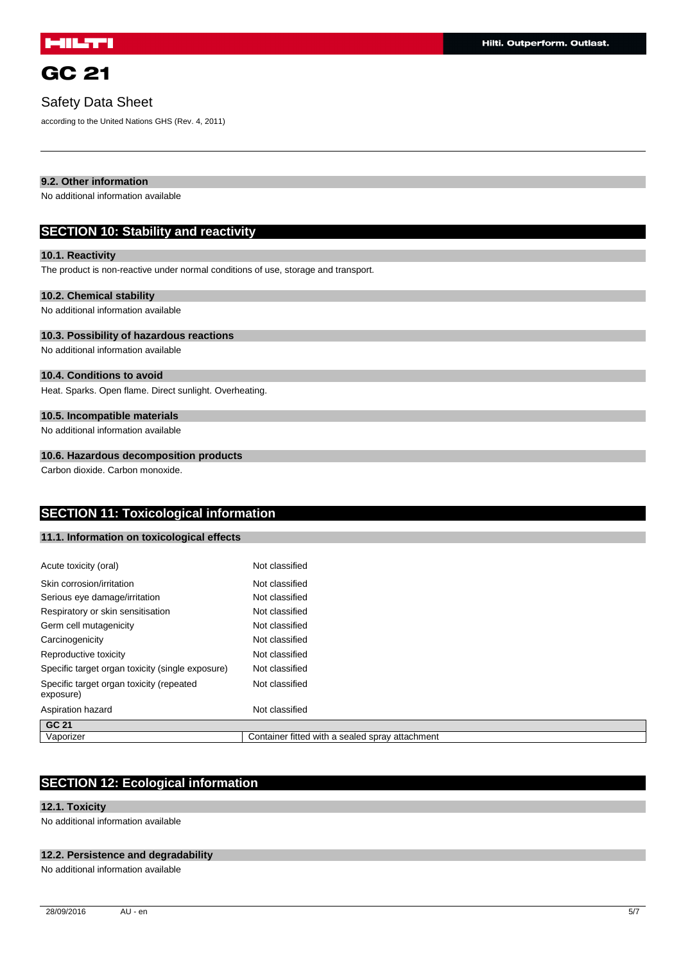## Safety Data Sheet

according to the United Nations GHS (Rev. 4, 2011)

### **9.2. Other information**

No additional information available

### **SECTION 10: Stability and reactivity**

### **10.1. Reactivity**

The product is non-reactive under normal conditions of use, storage and transport.

#### **10.2. Chemical stability**

No additional information available

### **10.3. Possibility of hazardous reactions**

No additional information available

### **10.4. Conditions to avoid**

Heat. Sparks. Open flame. Direct sunlight. Overheating.

### **10.5. Incompatible materials**

No additional information available

### **10.6. Hazardous decomposition products**

Carbon dioxide. Carbon monoxide.

## **SECTION 11: Toxicological information**

### **11.1. Information on toxicological effects**

| Acute toxicity (oral)                                 | Not classified                                  |
|-------------------------------------------------------|-------------------------------------------------|
| Skin corrosion/irritation                             | Not classified                                  |
| Serious eye damage/irritation                         | Not classified                                  |
| Respiratory or skin sensitisation                     | Not classified                                  |
| Germ cell mutagenicity                                | Not classified                                  |
| Carcinogenicity                                       | Not classified                                  |
| Reproductive toxicity                                 | Not classified                                  |
| Specific target organ toxicity (single exposure)      | Not classified                                  |
| Specific target organ toxicity (repeated<br>exposure) | Not classified                                  |
| Aspiration hazard                                     | Not classified                                  |
| GC 21                                                 |                                                 |
| Vaporizer                                             | Container fitted with a sealed spray attachment |

## **SECTION 12: Ecological information**

### **12.1. Toxicity**

No additional information available

### **12.2. Persistence and degradability**

No additional information available

28/09/2016 AU - en 5/7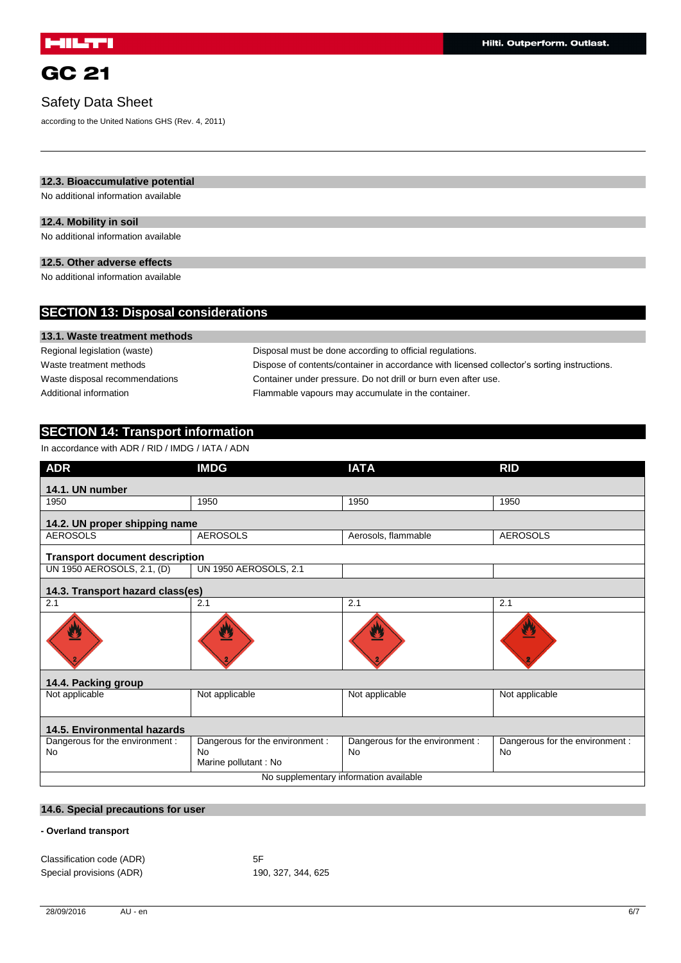## Safety Data Sheet

according to the United Nations GHS (Rev. 4, 2011)

### **12.3. Bioaccumulative potential**

No additional information available

### **12.4. Mobility in soil**

No additional information available

### **12.5. Other adverse effects**

No additional information available

| <b>SECTION 13: Disposal considerations</b> |                                                                                             |  |  |  |
|--------------------------------------------|---------------------------------------------------------------------------------------------|--|--|--|
| 13.1. Waste treatment methods              |                                                                                             |  |  |  |
| Regional legislation (waste)               | Disposal must be done according to official regulations.                                    |  |  |  |
| Waste treatment methods                    | Dispose of contents/container in accordance with licensed collector's sorting instructions. |  |  |  |
| Waste disposal recommendations             | Container under pressure. Do not drill or burn even after use.                              |  |  |  |
| Additional information                     | Flammable vapours may accumulate in the container.                                          |  |  |  |
|                                            |                                                                                             |  |  |  |

## **SECTION 14: Transport information**

In accordance with ADR / RID / IMDG / IATA / ADN

| <b>ADR</b>                                   | <b>IMDG</b>                                                    | <b>IATA</b>                                  | <b>RID</b>                                   |  |
|----------------------------------------------|----------------------------------------------------------------|----------------------------------------------|----------------------------------------------|--|
| 14.1. UN number                              |                                                                |                                              |                                              |  |
| 1950                                         | 1950                                                           | 1950                                         | 1950                                         |  |
| 14.2. UN proper shipping name                |                                                                |                                              |                                              |  |
| <b>AEROSOLS</b>                              | <b>AEROSOLS</b>                                                | Aerosols, flammable                          | <b>AEROSOLS</b>                              |  |
| <b>Transport document description</b>        |                                                                |                                              |                                              |  |
| UN 1950 AEROSOLS, 2.1, (D)                   | <b>UN 1950 AEROSOLS, 2.1</b>                                   |                                              |                                              |  |
| 14.3. Transport hazard class(es)             |                                                                |                                              |                                              |  |
| 2.1                                          | 2.1                                                            | 2.1                                          | 2.1                                          |  |
| U                                            |                                                                | ▲                                            | 9                                            |  |
| 14.4. Packing group                          |                                                                |                                              |                                              |  |
| Not applicable                               | Not applicable                                                 | Not applicable                               | Not applicable                               |  |
| 14.5. Environmental hazards                  |                                                                |                                              |                                              |  |
| Dangerous for the environment :<br><b>No</b> | Dangerous for the environment :<br>No.<br>Marine pollutant: No | Dangerous for the environment :<br><b>No</b> | Dangerous for the environment :<br><b>No</b> |  |
| No supplementary information available       |                                                                |                                              |                                              |  |

### **14.6. Special precautions for user**

### **- Overland transport**

Classification code (ADR) 5F Special provisions (ADR) 190, 327, 344, 625